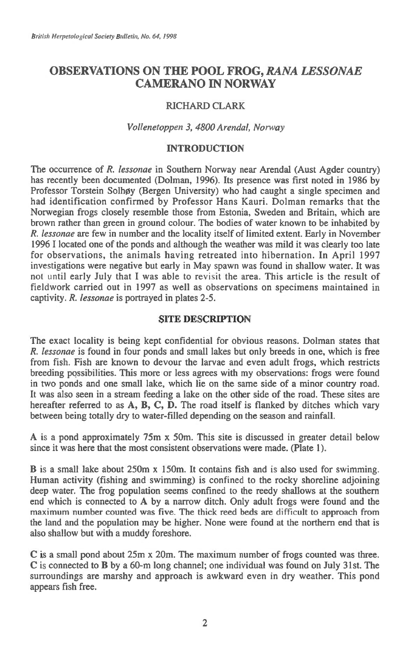# **OBSERVATIONS ON THE POOL FROG,** *RANA LESSONAE*  **CAMERANO IN NORWAY**

# RICHARD CLARK

### *Vollenetoppen 3, 4800 Arendal, Norway*

# INTRODUCTION

The occurrence of *R. lessonae* in Southern Norway near Arendal (Aust Agder country) has recently been documented (Dolman, 1996). Its presence was first noted in 1986 by Professor Torstein Solhøy (Bergen University) who had caught a single specimen and had identification confirmed by Professor Hans Kauri. Dolman remarks that the Norwegian frogs closely resemble those from Estonia, Sweden and Britain, which are brown rather than green in ground colour. The bodies of water known to be inhabited by *R. lessonae are few* in number and the locality itself of limited extent. Early in November 1996 I located one of the ponds and although the weather was mild it was clearly too late for observations, the animals having retreated into hibernation. In April 1997 investigations were negative but early in May spawn was found in shallow water. It was not until early July that I was able to revisit the area. This article is the result of fieldwork carried out in 1997 as well as observations on specimens maintained in captivity. *R. lessonae* is portrayed in plates 2-5.

# SITE DESCRIPTION

The exact locality is being kept confidential for obvious reasons. Dolman states that *R. lessonae* is found in four ponds and small lakes but only breeds in one, which is free from fish. Fish are known to devour the larvae and even adult frogs, which restricts breeding possibilities. This more or less agrees with my observations: frogs were found in two ponds and one small lake, which lie on the same side of a minor country road. It was also seen in a stream feeding a lake on the other side of the road. These sites are hereafter referred to as A, B, C, D. The road itself is flanked by ditches which vary between being totally dry to water-filled depending on the season and rainfall.

A is a pond approximately 75m x 50m. This site is discussed in greater detail below since it was here that the most consistent observations were made. (Plate 1).

B is a small lake about 250m x 150m. It contains fish and is also used for swimming. Human activity (fishing and swimming) is confined to the rocky shoreline adjoining deep water. The frog population seems confined to the reedy shallows at the southern end which is connected to A by a narrow ditch. Only adult frogs were found and the maximum number counted was five. The thick reed beds are difficult to approach from the land and the population may be higher. None were found at the northern end that is also shallow but with a muddy foreshore.

C is a small pond about 25m x 20m. The maximum number of frogs counted was three. C is connected to B by a 60-m long channel; one individual was found on July 31st. The surroundings are marshy and approach is awkward even in dry weather. This pond appears fish free.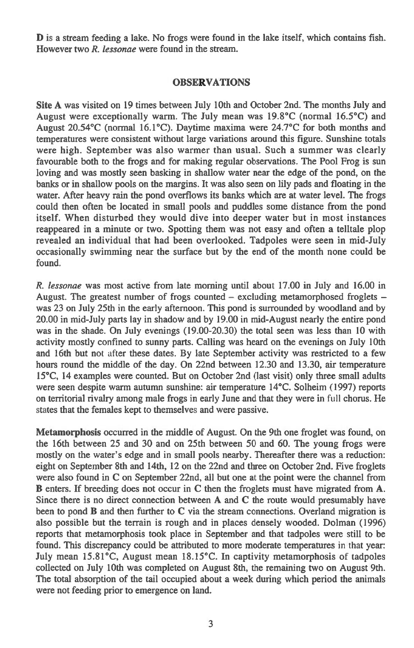**D** is a stream feeding a lake. No frogs were found in the lake itself, which contains fish. However two *R. lessonae* were found in the stream.

### **OBSERVATIONS**

**Site A** was visited on 19 times between July 10th and October 2nd. The months July and August were exceptionally warm. The July mean was 19.8°C (normal 16.5°C) and August 20.54°C (normal 16.1°C). Daytime maxima were 24.7°C for both months and temperatures were consistent without large variations around this figure. Sunshine totals were high. September was also warmer than usual. Such a summer was clearly favourable both to the frogs and for making regular observations. The Pool Frog is sun loving and was mostly seen basking in shallow water near the edge of the pond, on the banks or in shallow pools on the margins. It was also seen on lily pads and floating in the water. After heavy rain the pond overflows its banks which are at water level. The frogs could then often be located in small pools and puddles some distance from the pond itself. When disturbed they would dive into deeper water but in most instances reappeared in a minute or two. Spotting them was not easy and often a telltale plop revealed an individual that had been overlooked. Tadpoles were seen in mid-July occasionally swimming near the surface but by the end of the month none could be found.

*R. lessonae* was most active from late morning until about 17.00 in July and 16.00 in August. The greatest number of frogs counted — excluding metamorphosed froglets was 23 on July 25th in the early afternoon. This pond is surrounded by woodland and by 20.00 in mid-July parts lay in shadow and by 19.00 in mid-August nearly the entire pond was in the shade. On July evenings (19.00-20.30) the total seen was less than 10 with activity mostly confined to sunny parts. Calling was heard on the evenings on July 10th and 16th but not after these dates. By late September activity was restricted to a few hours round the middle of the day. On 22nd between 12.30 and 13.30, air temperature 15°C, 14 examples were counted. But on October 2nd (last visit) only three small adults were seen despite warm autumn sunshine: air temperature 14°C. Solheim (1997) reports on territorial rivalry among male frogs in early June and that they were in full chorus. He states that the females kept to themselves and were passive.

**Metamorphosis** occurred in the middle of August. On the 9th one froglet was found, on the 16th between 25 and 30 and on 25th between 50 and 60. The young frogs were mostly on the water's edge and in small pools nearby. Thereafter there was a reduction: eight on September 8th and 14th, 12 on the 22nd and three on October 2nd. Five froglets were also found in C on September 22nd, all but one at the point were the channel from **B** enters. If breeding does not occur in C then the froglets must have migrated from **A.**  Since there is no direct connection between A and C the route would presumably have been to pond **B** and then further to **C** via the stream connections. Overland migration is also possible but the terrain is rough and in places densely wooded. Dolman (1996) reports that metamorphosis took place in September and that tadpoles were still to be found. This discrepancy could be attributed to more moderate temperatures in that year: July mean 15.81°C, August mean 18.15°C. In captivity metamorphosis of tadpoles collected on July 10th was completed on August 8th, the remaining two on August 9th. The total absorption of the tail occupied about a week during which period the animals were not feeding prior to emergence on land.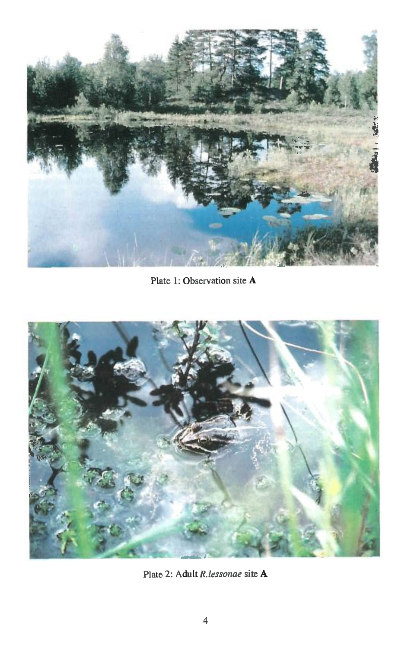

Plate 1: Observation site A



Plate 2: Adult *R.lessonae site* A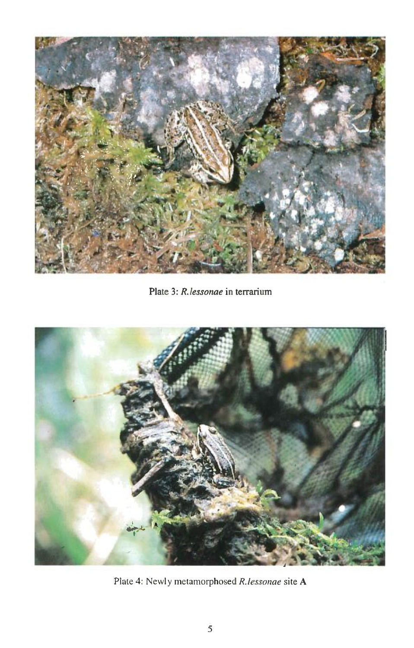

Plate 3: *R.lessonae in* terrarium



Plate 4: Newly metamorphosed *R.lessonae* site **A**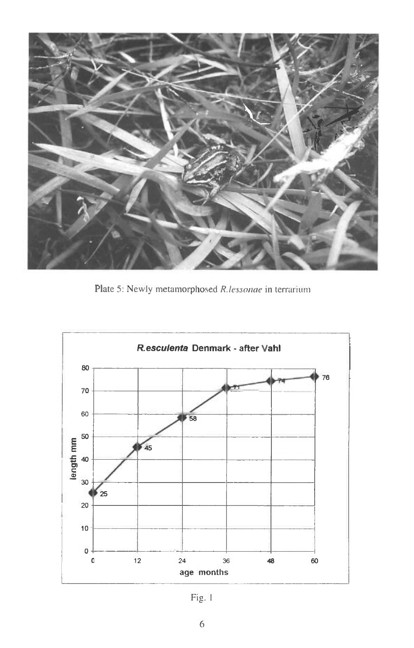

Plate 5: Newly metamorphosed R.lessonae in terrarium



Fig. 1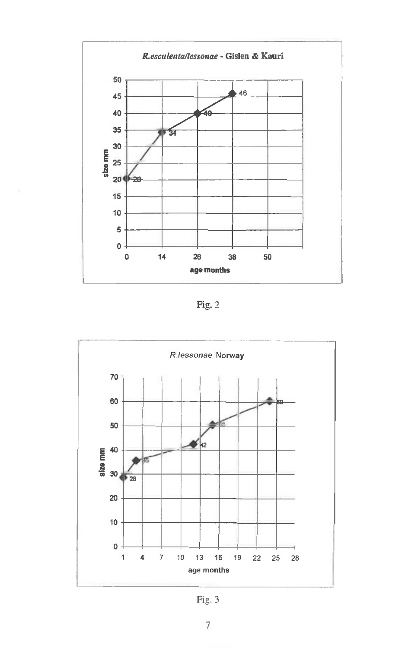

Fig. 2



Fig. 3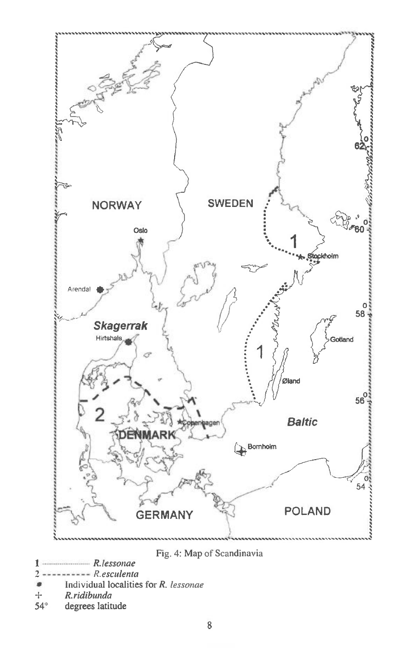

Fig. 4: Map of Scandinavia

- R.lessonae 1  $---R. esculenta$ 2
- 
- Individual localities for R. lessonae
- R.ridibunda  $\!+\!$
- $54^\circ$ degrees latitude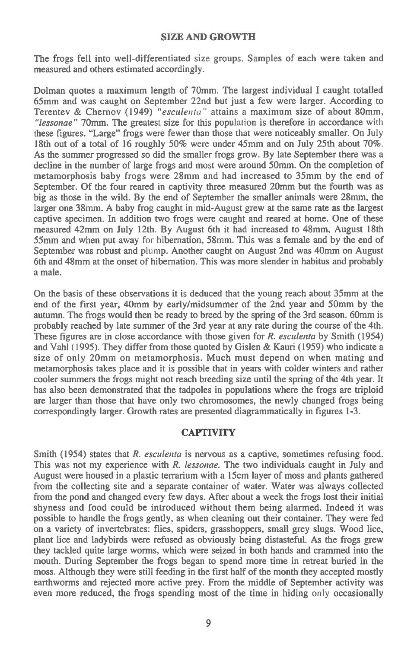#### SIZE AND GROWTH

The frogs fell into well-differentiated size groups. Samples of each were taken and measured and others estimated accordingly.

Dolman quotes a maximum length of 70mm. The largest individual I caught totalled 65mm and was caught on September 22nd but just a few were larger. According to Terentev & Chernov (1949) *"esculenta"* attains a maximum size of about 80mm, *"lessonae"* 70mm. The greatest size for this population is therefore in accordance with these figures. "Large" frogs were fewer than those that were noticeably smaller. On July 18th out of a total of 16 roughly 50% were under 45mm and on July 25th about 70%. As the summer progressed so did the smaller frogs grow. By late September there was a decline in the number of large frogs and most were around 50mm. On the completion of metamorphosis baby frogs were 28mm and had increased to 35mm by the end of September. Of the four reared in captivity three measured 20mm but the fourth was as big as those in the wild. By the end of September the smaller animals were 28mm, the larger one 38mm. A baby frog caught in mid-August grew at the same rate as the largest captive specimen. In addition two frogs were caught and reared at home. One of these measured 42mm on July 12th. By August 6th it had increased to 48mm, August 18th 55mm and when put away for hibernation, 58mm. This was a female and by the end of September was robust and plump. Another caught on August 2nd was 40mm on August 6th and 48mm at the onset of hibernation. This was more slender in habitus and probably a male.

On the basis of these observations it is deduced that the young reach about 35mm at the end of the first year, 40mm by early/midsummer of the 2nd year and 50mm by the autumn. The frogs would then be ready to breed by the spring of the 3rd season. 60mm is probably reached by late summer of the 3rd year at any rate during the course of the 4th. These figures are in close accordance with those given for *R. esculenta* by Smith (1954) and Vahl (1995). They differ from those quoted by Gislen & Kauri (1959) who indicate a size of only 20mm on metamorphosis. Much must depend on when mating and metamorphosis takes place and it is possible that in years with colder winters and rather cooler summers the frogs might not reach breeding size until the spring of the 4th year. It has also been demonstrated that the tadpoles in populations where the frogs are triploid are larger than those that have only two chromosomes, the newly changed frogs being correspondingly larger. Growth rates are presented diagrammatically in figures 1-3.

# **CAPTIVITY**

Smith (1954) states that *R. esculenta* is nervous as a captive, sometimes refusing food. This was not my experience with *R. lessonae.* The two individuals caught in July and August were housed in a plastic terrarium with a 15cm layer of moss and plants gathered from the collecting site and a separate container of water. Water was always collected from the pond and changed every few days. After about a week the frogs lost their initial shyness and food could be introduced without them being alarmed. Indeed it was possible to handle the frogs gently, as when cleaning out their container. They were fed on a variety of invertebrates: flies, spiders, grasshoppers, small grey slugs. Wood lice, plant lice and ladybirds were refused as obviously being distasteful. As the frogs grew they tackled quite large worms, which were seized in both hands and crammed into the mouth. During September the frogs began to spend more time in retreat buried in the moss. Although they were still feeding in the first half of the month they accepted mostly earthworms and rejected more active prey. From the middle of September activity was even more reduced, the frogs spending most of the time in hiding only occasionally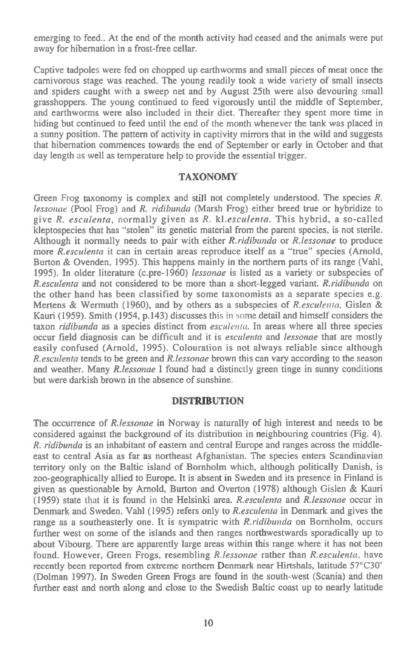emerging to feed.. At the end of the month activity had ceased and the animals were put away for hibernation in a frost-free cellar.

Captive tadpoles were fed on chopped up earthworms and small pieces of meat once the carnivorous stage was reached. The young readily took a wide variety of small insects and spiders caught with a sweep net and by August 25th were also devouring small grasshoppers. The young continued to feed vigorously until the middle of September, and earthworms were also included in their diet. Thereafter they spent more time in hiding but continued to feed until the end of the month whenever the tank was placed in a sunny position. The pattern of activity in captivity mirrors that in the wild and suggests that hibernation commences towards the end of September or early in October and that day length as well as temperature help to provide the essential trigger.

### **TAXONOMY**

Green Frog taxonomy is complex and still not completely understood. The species *R. lessonae* (Pool Frog) and *R. ridibunda* (Marsh Frog) either breed true or hybridize to give *R. esculenta,* normally given as *R. kl.esculenta.* This hybrid, a so-called kleptospecies that has "stolen" its genetic material from the parent species, is not sterile. Although it normally needs to pair with either *R.ridibunda* or *R.lessonae* to produce more *R.esculenta* it can in certain areas reproduce itself as a "true" species (Arnold, Burton & Ovenden, 1995). This happens mainly in the northern parts of its range (Vahl, 1995). In older literature (c.pre-1960) *lessonae is* listed as a variety or subspecies of *R.esculenta* and not considered to be more than a short-legged variant. *R.ridibunda* on the other hand has been classified by some taxonomists as a separate species e.g. Mertens & Wermuth (1960), and by others as a subspecies of *R.esculenta,* Gislen & Kauri (1959). Smith (1954, p.143) discusses this **in some** detail and himself considers the taxon *ridibunda as* a species distinct from *esculenta.* In areas where all three species occur field diagnosis can be difficult and it *is esculenta* and *lessonae* that are mostly easily confused (Arnold, 1995). Colouration is not always reliable since although *R.esculenta* tends to be green and *R.lessonae* brown this can vary according to the season and weather. Many *R.lessonae* I found had a distinctly green tinge in sunny conditions but were darkish brown in the absence of sunshine.

### **DISTRIBUTION**

The occurrence of *R.lessonae* in Norway is naturally of high interest and needs to be considered against the background of its distribution in neighbouring countries (Fig. 4). *R. ridibunda is* an inhabitant of eastern and central Europe and ranges across the middleeast to central Asia as far as northeast Afghanistan. The species enters Scandinavian territory only on the Baltic island of Bornholm which, although politically Danish, is zoo-geographically allied to Europe. It is absent in Sweden and its presence in Finland is given as questionable by Arnold, Burton and Overton (1978) although Gislen & Kauri (1959) state **that** it is found **in** the Helsinki area. *R.esculenta* and *R.lessonae* occur in Denmark and Sweden. Vahl (1995) refers only to *R.esculenta* in Denmark and gives the range as a southeasterly one. It is sympatric with *R.ridibunda* on Bornholm, occurs further west on some of the islands and then ranges northwestwards sporadically up to about Vibourg. There are apparently large areas within this range where it has not been found. However, Green Frogs, resembling *R.lessonae* rather than *R.esculenta,* have recently been reported from extreme northern Denmark near Hirtshals, latitude 57°C30' (Dolman 1997). In Sweden Green Frogs are found in the south-west (Scania) and then further east and north along and close to the Swedish Baltic coast up to nearly latitude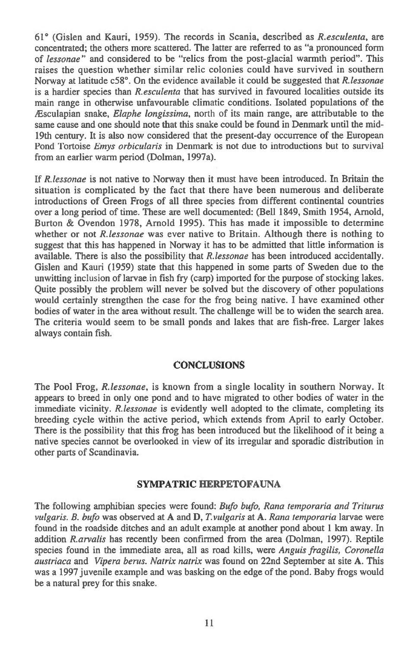61° (Gislen and Kauri, 1959). The records in Scania, described as *R.esculenta, are*  concentrated; the others more scattered. The latter are referred to as "a pronounced form of *lessonae"* and considered to be "relics from the post-glacial warmth period". This raises the question whether similar relic colonies could have survived in southern Norway at latitude c58°. On the evidence available it could be suggested that *R.lessonae is* a hardier species than *R.esculenta* that has survived in favoured localities outside its main range in otherwise unfavourable climatic conditions. Isolated populations of the *lEsculapian* snake, *Elaphe longissima,* north of its main range, are attributable to the same cause and one should note that this snake could be found in Denmark until the mid-19th century. It is also now considered that the present-day occurrence of the European Pond Tortoise *Emys orbicularis* in Denmark is not due to introductions but to survival from an earlier warm period (Dolman, 1997a).

If *R.lessonae is* not native to Norway then it must have been introduced. In Britain the situation is complicated by the fact that there have been numerous and deliberate introductions of Green Frogs of all three species from different continental countries over a long period of time. These are well documented: (Bell 1849, Smith 1954, Arnold, Burton & Ovendon 1978, Arnold 1995). This has made it impossible to determine whether or not *R.lessonae* was ever native to Britain. Although there is nothing to suggest that this has happened in Norway it has to be admitted that little information is available. There is also the possibility that *R.lessonae* has been introduced accidentally. Gislen and Kauri (1959) state that this happened in some parts of Sweden due to the unwitting inclusion of larvae in fish fry (carp) imported for the purpose of stocking lakes. Quite possibly the problem will never be solved but the discovery of other populations would certainly strengthen the case for the frog being native. I have examined other bodies of water in the area without result. The challenge will be to widen the search area. The criteria would seem to be small ponds and lakes that are fish-free. Larger lakes always contain fish.

# **CONCLUSIONS**

The Pool Frog, *R.lessonae, is* known from a single locality in southern Norway. It appears to breed in only one pond and to have migrated to other bodies of water in the immediate vicinity. *R.lessonae* is evidently well adopted to the climate, completing its breeding cycle within the active period, which extends from April to early October. There is the possibility that this frog has been introduced but the likelihood of it being a native species cannot be overlooked in view of its irregular and sporadic distribution in other parts of Scandinavia.

### **SYMPATRIC HERPETOFAUNA**

The following amphibian species were found: *Bufo bufo, Rana temporaria and Triturus vulgaris. B. bufo* was observed at **A** and **D,** *T.vulgaris at* **A.** *Rana temporaria* larvae were found in the roadside ditches and an adult example at another pond about 1 km away. In addition *R.arvalis* has recently been confirmed from the area (Dolman, 1997). Reptile species found in the immediate area, all as road kills, were *Anguis fragilis, Coronella austriaca* and *Vipera berus. Natrix natrix* was found on 22nd September at site **A.** This was a 1997 juvenile example and was basking on the edge of the pond. Baby frogs would be a natural prey for this snake.